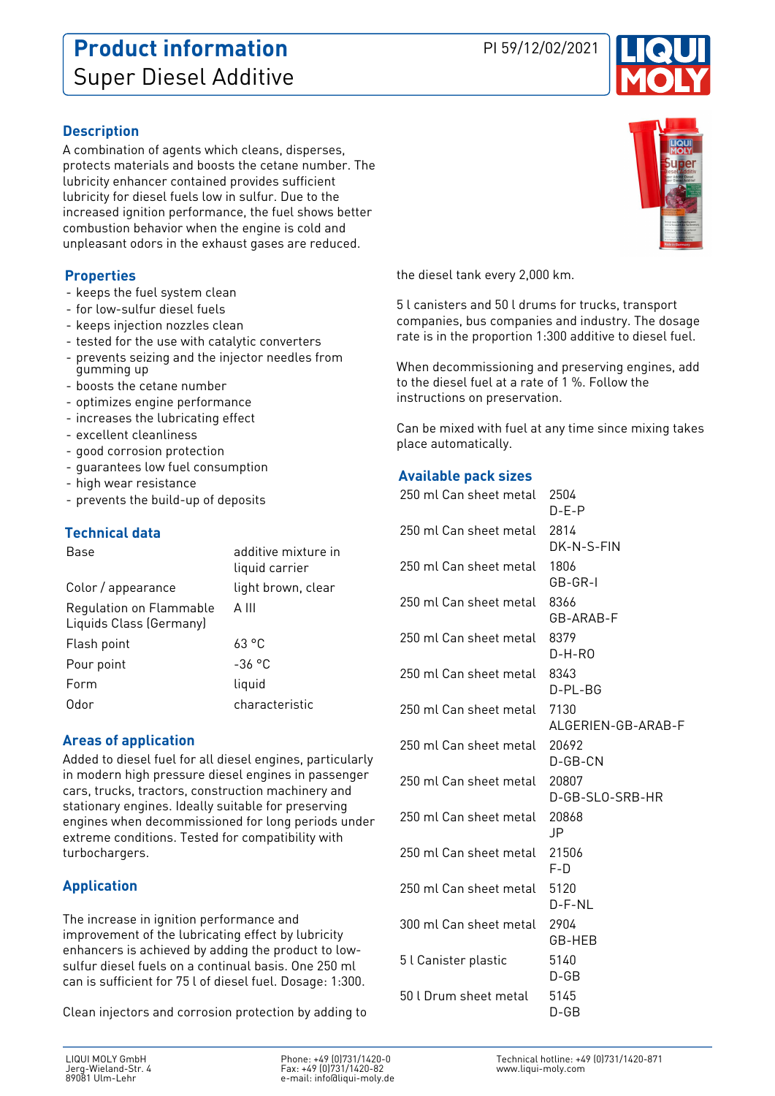## **Product information** PI 59/12/02/2021 Super Diesel Additive



## **Description**

A combination of agents which cleans, disperses, protects materials and boosts the cetane number. The lubricity enhancer contained provides sufficient lubricity for diesel fuels low in sulfur. Due to the increased ignition performance, the fuel shows better combustion behavior when the engine is cold and unpleasant odors in the exhaust gases are reduced.

#### **Properties**

- keeps the fuel system clean
- for low-sulfur diesel fuels
- keeps injection nozzles clean
- tested for the use with catalytic converters
- prevents seizing and the injector needles from gumming up
- boosts the cetane number
- optimizes engine performance
- increases the lubricating effect
- excellent cleanliness
- good corrosion protection
- guarantees low fuel consumption
- high wear resistance
- prevents the build-up of deposits

#### **Technical data**

| Base                                               | additive mixture in<br>liquid carrier |
|----------------------------------------------------|---------------------------------------|
| Color / appearance                                 | light brown, clear                    |
| Regulation on Flammable<br>Liquids Class (Germany) | A III                                 |
| Flash point                                        | 63°C                                  |
| Pour point                                         | $-36$ °C                              |
| Form                                               | liquid                                |
| Odor                                               | characteristic                        |

### **Areas of application**

Added to diesel fuel for all diesel engines, particularly in modern high pressure diesel engines in passenger cars, trucks, tractors, construction machinery and stationary engines. Ideally suitable for preserving engines when decommissioned for long periods under extreme conditions. Tested for compatibility with turbochargers.

### **Application**

The increase in ignition performance and improvement of the lubricating effect by lubricity enhancers is achieved by adding the product to lowsulfur diesel fuels on a continual basis. One 250 ml can is sufficient for 75 l of diesel fuel. Dosage: 1:300.

Clean injectors and corrosion protection by adding to



the diesel tank every 2,000 km.

5 l canisters and 50 l drums for trucks, transport companies, bus companies and industry. The dosage rate is in the proportion 1:300 additive to diesel fuel.

When decommissioning and preserving engines, add to the diesel fuel at a rate of 1 %. Follow the instructions on preservation.

Can be mixed with fuel at any time since mixing takes place automatically.

#### **Available pack sizes**

| 250 ml Can sheet metal | 2504<br>$D-E-P$            |
|------------------------|----------------------------|
| 250 ml Can sheet metal | 2814<br>DK-N-S-FIN         |
| 250 ml Can sheet metal | 1806<br>GB-GR-I            |
| 250 ml Can sheet metal | 8366<br>GB-ARAB-F          |
| 250 ml Can sheet metal | 8379<br>$D-H-RO$           |
| 250 ml Can sheet metal | 8343<br>D-PL-BG            |
| 250 ml Can sheet metal | 7130<br>ALGERIEN-GB-ARAB-F |
| 250 ml Can sheet metal | 20692<br>D-GB-CN           |
| 250 ml Can sheet metal | 20807<br>D-GB-SLO-SRB-HR   |
| 250 ml Can sheet metal | 20868<br>JP.               |
| 250 ml Can sheet metal | 21506<br>$F-D$             |
| 250 ml Can sheet metal | 5120<br>D-F-NL             |
| 300 ml Can sheet metal | 2904<br>GB-HEB             |
| 5 l Canister plastic   | 5140<br>$D$ -GB            |
| 50 l Drum sheet metal  | 5145<br>D-GB               |